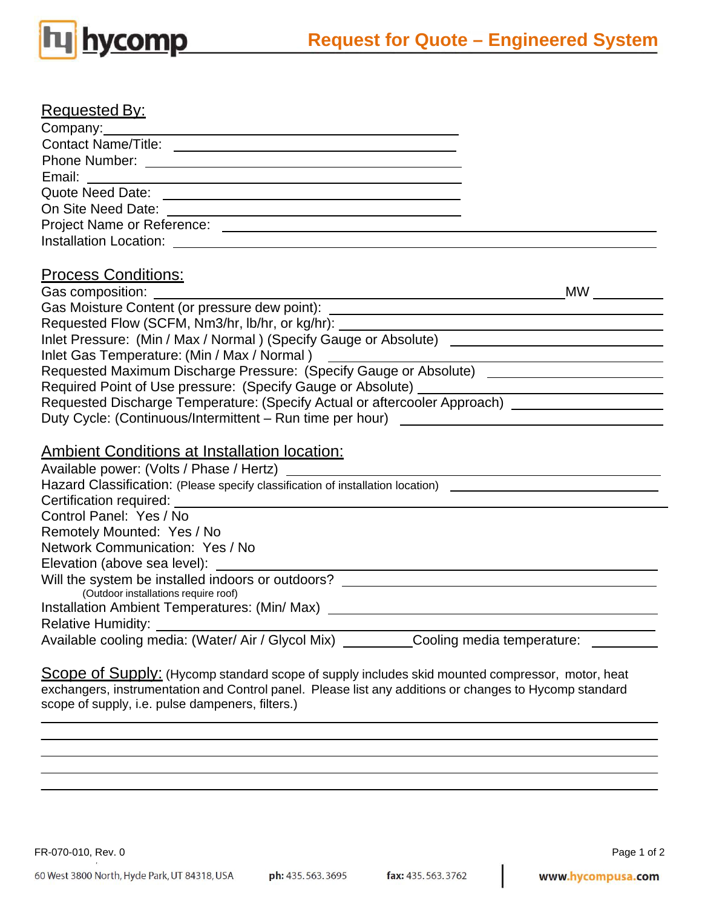

| <b>Requested By:</b>                                                                                           |           |
|----------------------------------------------------------------------------------------------------------------|-----------|
| Company: Company:                                                                                              |           |
|                                                                                                                |           |
|                                                                                                                |           |
| Email:                                                                                                         |           |
|                                                                                                                |           |
|                                                                                                                |           |
|                                                                                                                |           |
|                                                                                                                |           |
|                                                                                                                |           |
| <b>Process Conditions:</b>                                                                                     |           |
|                                                                                                                | <b>MW</b> |
| Gas Moisture Content (or pressure dew point): __________________________________                               |           |
|                                                                                                                |           |
|                                                                                                                |           |
|                                                                                                                |           |
|                                                                                                                |           |
|                                                                                                                |           |
| Requested Discharge Temperature: (Specify Actual or aftercooler Approach) _________________________            |           |
| Duty Cycle: (Continuous/Intermittent - Run time per hour) ______________________                               |           |
|                                                                                                                |           |
| <b>Ambient Conditions at Installation location:</b>                                                            |           |
|                                                                                                                |           |
| Hazard Classification: (Please specify classification of installation location) ______________________________ |           |
|                                                                                                                |           |
| Control Panel: Yes / No                                                                                        |           |
| Remotely Mounted: Yes / No                                                                                     |           |
| Network Communication: Yes / No                                                                                |           |
| Elevation (above sea level):                                                                                   |           |
| Will the system be installed indoors or outdoors? ______________________________                               |           |
| (Outdoor installations require roof)                                                                           |           |
| Installation Ambient Temperatures: (Min/ Max) __________________________________                               |           |
| Relative Humidity: <b>Example 2014</b>                                                                         |           |
| Available cooling media: (Water/ Air / Glycol Mix) ___________Cooling media temperature: __________            |           |
| $\sim$ $\sim$ $\sim$ $\sim$ $\sim$                                                                             |           |

**Scope of Supply:** (Hycomp standard scope of supply includes skid mounted compressor, motor, heat exchangers, instrumentation and Control panel. Please list any additions or changes to Hycomp standard scope of supply, i.e. pulse dampeners, filters.)

FR-070-010, Rev. 0 Page 1 of 2